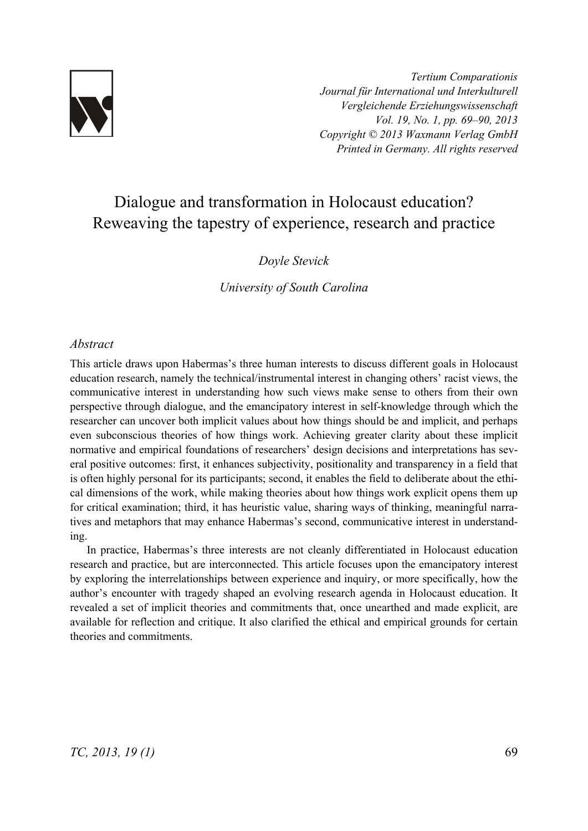

*Tertium Comparationis Journal für International und Interkulturell Vergleichende Erziehungswissenschaft Vol. 19, No. 1, pp. 69–90, 2013 Copyright © 2013 Waxmann Verlag GmbH Printed in Germany. All rights reserved*

# Dialogue and transformation in Holocaust education? Reweaving the tapestry of experience, research and practice

#### *Doyle Stevick*

*University of South Carolina* 

#### *Abstract*

This article draws upon Habermas's three human interests to discuss different goals in Holocaust education research, namely the technical/instrumental interest in changing others' racist views, the communicative interest in understanding how such views make sense to others from their own perspective through dialogue, and the emancipatory interest in self-knowledge through which the researcher can uncover both implicit values about how things should be and implicit, and perhaps even subconscious theories of how things work. Achieving greater clarity about these implicit normative and empirical foundations of researchers' design decisions and interpretations has several positive outcomes: first, it enhances subjectivity, positionality and transparency in a field that is often highly personal for its participants; second, it enables the field to deliberate about the ethical dimensions of the work, while making theories about how things work explicit opens them up for critical examination; third, it has heuristic value, sharing ways of thinking, meaningful narratives and metaphors that may enhance Habermas's second, communicative interest in understanding.

In practice, Habermas's three interests are not cleanly differentiated in Holocaust education research and practice, but are interconnected. This article focuses upon the emancipatory interest by exploring the interrelationships between experience and inquiry, or more specifically, how the author's encounter with tragedy shaped an evolving research agenda in Holocaust education. It revealed a set of implicit theories and commitments that, once unearthed and made explicit, are available for reflection and critique. It also clarified the ethical and empirical grounds for certain theories and commitments.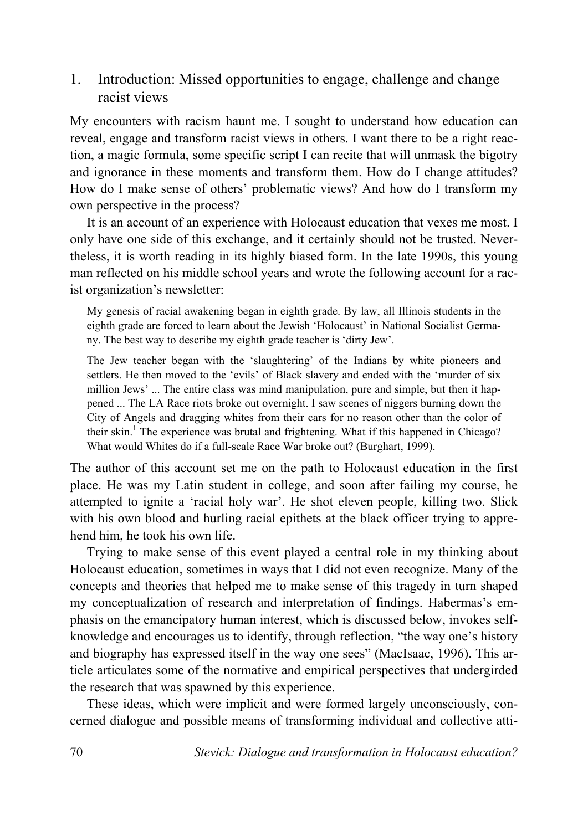1. Introduction: Missed opportunities to engage, challenge and change racist views

My encounters with racism haunt me. I sought to understand how education can reveal, engage and transform racist views in others. I want there to be a right reaction, a magic formula, some specific script I can recite that will unmask the bigotry and ignorance in these moments and transform them. How do I change attitudes? How do I make sense of others' problematic views? And how do I transform my own perspective in the process?

It is an account of an experience with Holocaust education that vexes me most. I only have one side of this exchange, and it certainly should not be trusted. Nevertheless, it is worth reading in its highly biased form. In the late 1990s, this young man reflected on his middle school years and wrote the following account for a racist organization's newsletter:

My genesis of racial awakening began in eighth grade. By law, all Illinois students in the eighth grade are forced to learn about the Jewish 'Holocaust' in National Socialist Germany. The best way to describe my eighth grade teacher is 'dirty Jew'.

The Jew teacher began with the 'slaughtering' of the Indians by white pioneers and settlers. He then moved to the 'evils' of Black slavery and ended with the 'murder of six million Jews' ... The entire class was mind manipulation, pure and simple, but then it happened ... The LA Race riots broke out overnight. I saw scenes of niggers burning down the City of Angels and dragging whites from their cars for no reason other than the color of their skin.<sup>1</sup> The experience was brutal and frightening. What if this happened in Chicago? What would Whites do if a full-scale Race War broke out? (Burghart, 1999).

The author of this account set me on the path to Holocaust education in the first place. He was my Latin student in college, and soon after failing my course, he attempted to ignite a 'racial holy war'. He shot eleven people, killing two. Slick with his own blood and hurling racial epithets at the black officer trying to apprehend him, he took his own life.

Trying to make sense of this event played a central role in my thinking about Holocaust education, sometimes in ways that I did not even recognize. Many of the concepts and theories that helped me to make sense of this tragedy in turn shaped my conceptualization of research and interpretation of findings. Habermas's emphasis on the emancipatory human interest, which is discussed below, invokes selfknowledge and encourages us to identify, through reflection, "the way one's history and biography has expressed itself in the way one sees" (MacIsaac, 1996). This article articulates some of the normative and empirical perspectives that undergirded the research that was spawned by this experience.

These ideas, which were implicit and were formed largely unconsciously, concerned dialogue and possible means of transforming individual and collective atti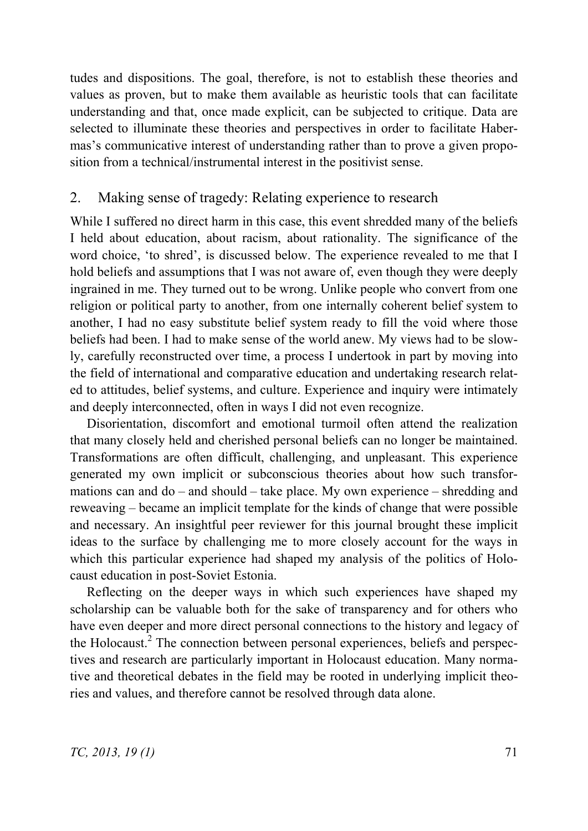tudes and dispositions. The goal, therefore, is not to establish these theories and values as proven, but to make them available as heuristic tools that can facilitate understanding and that, once made explicit, can be subjected to critique. Data are selected to illuminate these theories and perspectives in order to facilitate Habermas's communicative interest of understanding rather than to prove a given proposition from a technical/instrumental interest in the positivist sense.

#### 2. Making sense of tragedy: Relating experience to research

While I suffered no direct harm in this case, this event shredded many of the beliefs I held about education, about racism, about rationality. The significance of the word choice, 'to shred', is discussed below. The experience revealed to me that I hold beliefs and assumptions that I was not aware of, even though they were deeply ingrained in me. They turned out to be wrong. Unlike people who convert from one religion or political party to another, from one internally coherent belief system to another, I had no easy substitute belief system ready to fill the void where those beliefs had been. I had to make sense of the world anew. My views had to be slowly, carefully reconstructed over time, a process I undertook in part by moving into the field of international and comparative education and undertaking research related to attitudes, belief systems, and culture. Experience and inquiry were intimately and deeply interconnected, often in ways I did not even recognize.

Disorientation, discomfort and emotional turmoil often attend the realization that many closely held and cherished personal beliefs can no longer be maintained. Transformations are often difficult, challenging, and unpleasant. This experience generated my own implicit or subconscious theories about how such transformations can and do – and should – take place. My own experience – shredding and reweaving – became an implicit template for the kinds of change that were possible and necessary. An insightful peer reviewer for this journal brought these implicit ideas to the surface by challenging me to more closely account for the ways in which this particular experience had shaped my analysis of the politics of Holocaust education in post-Soviet Estonia.

Reflecting on the deeper ways in which such experiences have shaped my scholarship can be valuable both for the sake of transparency and for others who have even deeper and more direct personal connections to the history and legacy of the Holocaust.<sup>2</sup> The connection between personal experiences, beliefs and perspectives and research are particularly important in Holocaust education. Many normative and theoretical debates in the field may be rooted in underlying implicit theories and values, and therefore cannot be resolved through data alone.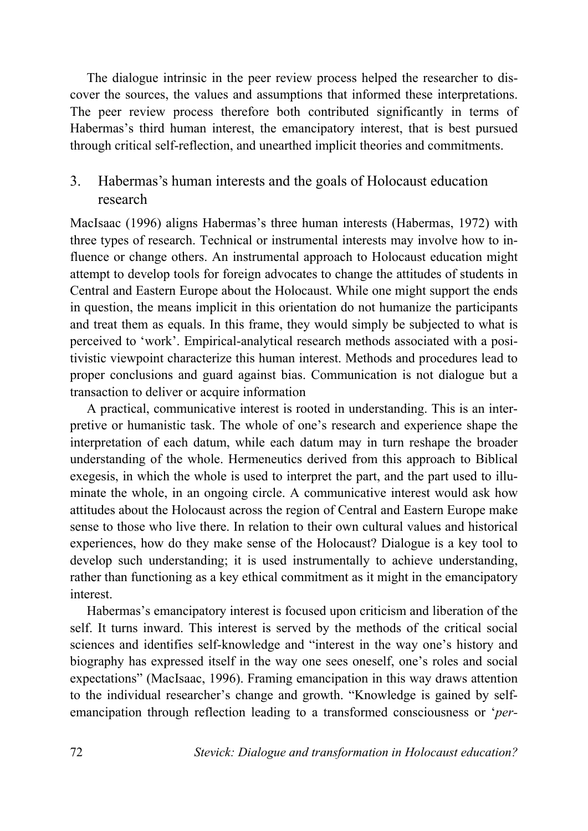The dialogue intrinsic in the peer review process helped the researcher to discover the sources, the values and assumptions that informed these interpretations. The peer review process therefore both contributed significantly in terms of Habermas's third human interest, the emancipatory interest, that is best pursued through critical self-reflection, and unearthed implicit theories and commitments.

# 3. Habermas's human interests and the goals of Holocaust education research

MacIsaac (1996) aligns Habermas's three human interests (Habermas, 1972) with three types of research. Technical or instrumental interests may involve how to influence or change others. An instrumental approach to Holocaust education might attempt to develop tools for foreign advocates to change the attitudes of students in Central and Eastern Europe about the Holocaust. While one might support the ends in question, the means implicit in this orientation do not humanize the participants and treat them as equals. In this frame, they would simply be subjected to what is perceived to 'work'. Empirical-analytical research methods associated with a positivistic viewpoint characterize this human interest. Methods and procedures lead to proper conclusions and guard against bias. Communication is not dialogue but a transaction to deliver or acquire information

A practical, communicative interest is rooted in understanding. This is an interpretive or humanistic task. The whole of one's research and experience shape the interpretation of each datum, while each datum may in turn reshape the broader understanding of the whole. Hermeneutics derived from this approach to Biblical exegesis, in which the whole is used to interpret the part, and the part used to illuminate the whole, in an ongoing circle. A communicative interest would ask how attitudes about the Holocaust across the region of Central and Eastern Europe make sense to those who live there. In relation to their own cultural values and historical experiences, how do they make sense of the Holocaust? Dialogue is a key tool to develop such understanding; it is used instrumentally to achieve understanding, rather than functioning as a key ethical commitment as it might in the emancipatory interest.

Habermas's emancipatory interest is focused upon criticism and liberation of the self. It turns inward. This interest is served by the methods of the critical social sciences and identifies self-knowledge and "interest in the way one's history and biography has expressed itself in the way one sees oneself, one's roles and social expectations" (MacIsaac, 1996). Framing emancipation in this way draws attention to the individual researcher's change and growth. "Knowledge is gained by selfemancipation through reflection leading to a transformed consciousness or '*per-*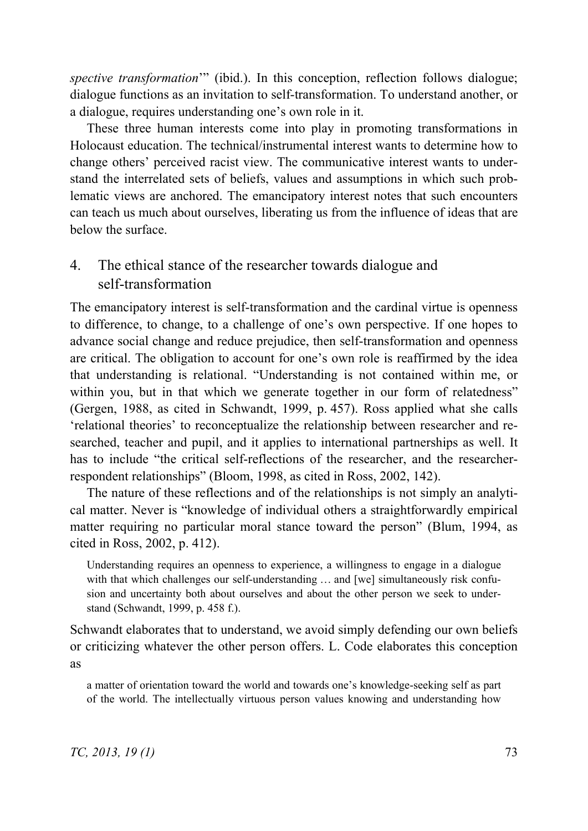*spective transformation*" (ibid.). In this conception, reflection follows dialogue; dialogue functions as an invitation to self-transformation. To understand another, or a dialogue, requires understanding one's own role in it.

These three human interests come into play in promoting transformations in Holocaust education. The technical/instrumental interest wants to determine how to change others' perceived racist view. The communicative interest wants to understand the interrelated sets of beliefs, values and assumptions in which such problematic views are anchored. The emancipatory interest notes that such encounters can teach us much about ourselves, liberating us from the influence of ideas that are below the surface.

### 4. The ethical stance of the researcher towards dialogue and self-transformation

The emancipatory interest is self-transformation and the cardinal virtue is openness to difference, to change, to a challenge of one's own perspective. If one hopes to advance social change and reduce prejudice, then self-transformation and openness are critical. The obligation to account for one's own role is reaffirmed by the idea that understanding is relational. "Understanding is not contained within me, or within you, but in that which we generate together in our form of relatedness" (Gergen, 1988, as cited in Schwandt, 1999, p. 457). Ross applied what she calls 'relational theories' to reconceptualize the relationship between researcher and researched, teacher and pupil, and it applies to international partnerships as well. It has to include "the critical self-reflections of the researcher, and the researcherrespondent relationships" (Bloom, 1998, as cited in Ross, 2002, 142).

The nature of these reflections and of the relationships is not simply an analytical matter. Never is "knowledge of individual others a straightforwardly empirical matter requiring no particular moral stance toward the person" (Blum, 1994, as cited in Ross, 2002, p. 412).

Understanding requires an openness to experience, a willingness to engage in a dialogue with that which challenges our self-understanding ... and [we] simultaneously risk confusion and uncertainty both about ourselves and about the other person we seek to understand (Schwandt, 1999, p. 458 f.).

Schwandt elaborates that to understand, we avoid simply defending our own beliefs or criticizing whatever the other person offers. L. Code elaborates this conception as

a matter of orientation toward the world and towards one's knowledge-seeking self as part of the world. The intellectually virtuous person values knowing and understanding how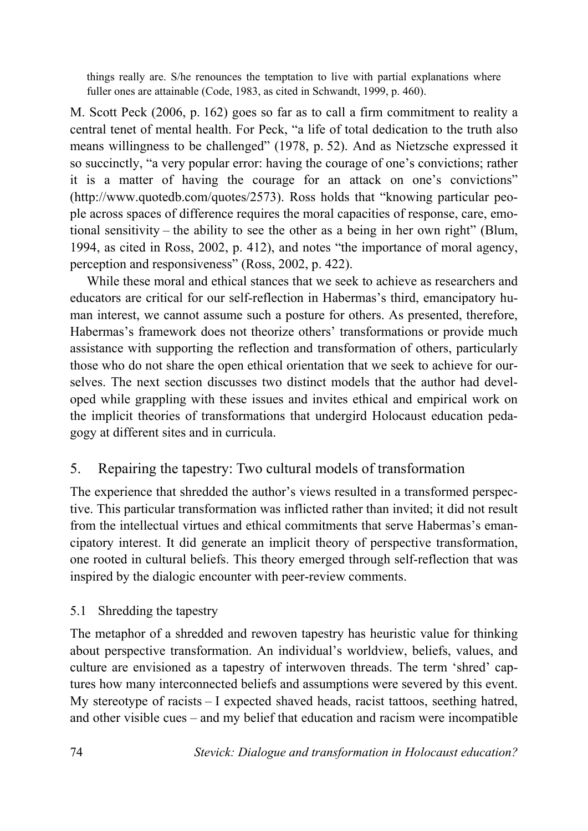things really are. S/he renounces the temptation to live with partial explanations where fuller ones are attainable (Code, 1983, as cited in Schwandt, 1999, p. 460).

M. Scott Peck (2006, p. 162) goes so far as to call a firm commitment to reality a central tenet of mental health. For Peck, "a life of total dedication to the truth also means willingness to be challenged" (1978, p. 52). And as Nietzsche expressed it so succinctly, "a very popular error: having the courage of one's convictions; rather it is a matter of having the courage for an attack on one's convictions" (http://www.quotedb.com/quotes/2573). Ross holds that "knowing particular people across spaces of difference requires the moral capacities of response, care, emotional sensitivity – the ability to see the other as a being in her own right" (Blum, 1994, as cited in Ross, 2002, p. 412), and notes "the importance of moral agency, perception and responsiveness" (Ross, 2002, p. 422).

While these moral and ethical stances that we seek to achieve as researchers and educators are critical for our self-reflection in Habermas's third, emancipatory human interest, we cannot assume such a posture for others. As presented, therefore, Habermas's framework does not theorize others' transformations or provide much assistance with supporting the reflection and transformation of others, particularly those who do not share the open ethical orientation that we seek to achieve for ourselves. The next section discusses two distinct models that the author had developed while grappling with these issues and invites ethical and empirical work on the implicit theories of transformations that undergird Holocaust education pedagogy at different sites and in curricula.

# 5. Repairing the tapestry: Two cultural models of transformation

The experience that shredded the author's views resulted in a transformed perspective. This particular transformation was inflicted rather than invited; it did not result from the intellectual virtues and ethical commitments that serve Habermas's emancipatory interest. It did generate an implicit theory of perspective transformation, one rooted in cultural beliefs. This theory emerged through self-reflection that was inspired by the dialogic encounter with peer-review comments.

# 5.1 Shredding the tapestry

The metaphor of a shredded and rewoven tapestry has heuristic value for thinking about perspective transformation. An individual's worldview, beliefs, values, and culture are envisioned as a tapestry of interwoven threads. The term 'shred' captures how many interconnected beliefs and assumptions were severed by this event. My stereotype of racists – I expected shaved heads, racist tattoos, seething hatred, and other visible cues – and my belief that education and racism were incompatible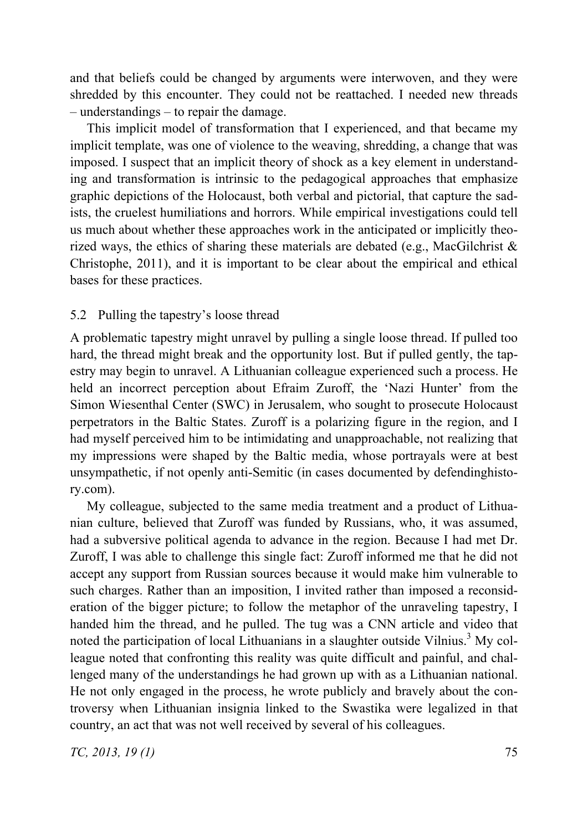and that beliefs could be changed by arguments were interwoven, and they were shredded by this encounter. They could not be reattached. I needed new threads – understandings – to repair the damage.

This implicit model of transformation that I experienced, and that became my implicit template, was one of violence to the weaving, shredding, a change that was imposed. I suspect that an implicit theory of shock as a key element in understanding and transformation is intrinsic to the pedagogical approaches that emphasize graphic depictions of the Holocaust, both verbal and pictorial, that capture the sadists, the cruelest humiliations and horrors. While empirical investigations could tell us much about whether these approaches work in the anticipated or implicitly theorized ways, the ethics of sharing these materials are debated (e.g., MacGilchrist & Christophe, 2011), and it is important to be clear about the empirical and ethical bases for these practices.

#### 5.2 Pulling the tapestry's loose thread

A problematic tapestry might unravel by pulling a single loose thread. If pulled too hard, the thread might break and the opportunity lost. But if pulled gently, the tapestry may begin to unravel. A Lithuanian colleague experienced such a process. He held an incorrect perception about Efraim Zuroff, the 'Nazi Hunter' from the Simon Wiesenthal Center (SWC) in Jerusalem, who sought to prosecute Holocaust perpetrators in the Baltic States. Zuroff is a polarizing figure in the region, and I had myself perceived him to be intimidating and unapproachable, not realizing that my impressions were shaped by the Baltic media, whose portrayals were at best unsympathetic, if not openly anti-Semitic (in cases documented by defendinghistory.com).

My colleague, subjected to the same media treatment and a product of Lithuanian culture, believed that Zuroff was funded by Russians, who, it was assumed, had a subversive political agenda to advance in the region. Because I had met Dr. Zuroff, I was able to challenge this single fact: Zuroff informed me that he did not accept any support from Russian sources because it would make him vulnerable to such charges. Rather than an imposition, I invited rather than imposed a reconsideration of the bigger picture; to follow the metaphor of the unraveling tapestry, I handed him the thread, and he pulled. The tug was a CNN article and video that noted the participation of local Lithuanians in a slaughter outside Vilnius.<sup>3</sup> My colleague noted that confronting this reality was quite difficult and painful, and challenged many of the understandings he had grown up with as a Lithuanian national. He not only engaged in the process, he wrote publicly and bravely about the controversy when Lithuanian insignia linked to the Swastika were legalized in that country, an act that was not well received by several of his colleagues.

*TC, 2013, 19 (1)* 75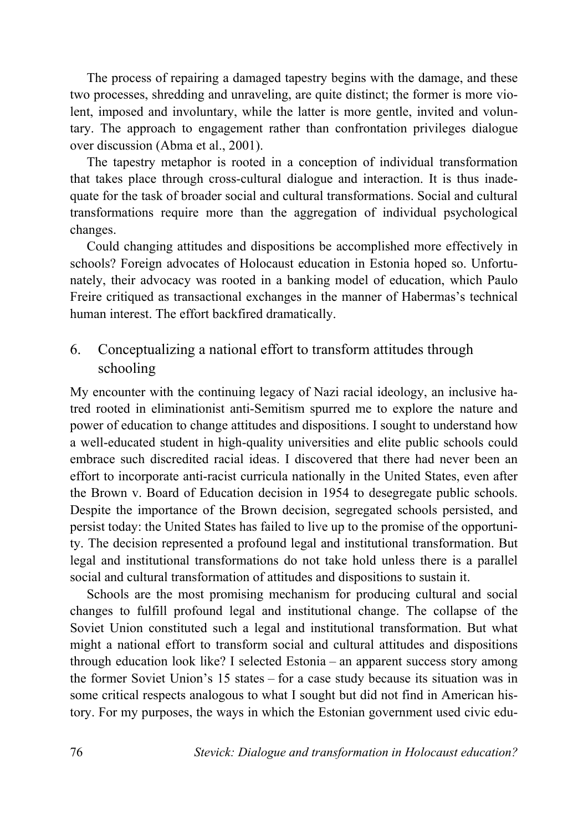The process of repairing a damaged tapestry begins with the damage, and these two processes, shredding and unraveling, are quite distinct; the former is more violent, imposed and involuntary, while the latter is more gentle, invited and voluntary. The approach to engagement rather than confrontation privileges dialogue over discussion (Abma et al., 2001).

The tapestry metaphor is rooted in a conception of individual transformation that takes place through cross-cultural dialogue and interaction. It is thus inadequate for the task of broader social and cultural transformations. Social and cultural transformations require more than the aggregation of individual psychological changes.

Could changing attitudes and dispositions be accomplished more effectively in schools? Foreign advocates of Holocaust education in Estonia hoped so. Unfortunately, their advocacy was rooted in a banking model of education, which Paulo Freire critiqued as transactional exchanges in the manner of Habermas's technical human interest. The effort backfired dramatically.

### 6. Conceptualizing a national effort to transform attitudes through schooling

My encounter with the continuing legacy of Nazi racial ideology, an inclusive hatred rooted in eliminationist anti-Semitism spurred me to explore the nature and power of education to change attitudes and dispositions. I sought to understand how a well-educated student in high-quality universities and elite public schools could embrace such discredited racial ideas. I discovered that there had never been an effort to incorporate anti-racist curricula nationally in the United States, even after the Brown v. Board of Education decision in 1954 to desegregate public schools. Despite the importance of the Brown decision, segregated schools persisted, and persist today: the United States has failed to live up to the promise of the opportunity. The decision represented a profound legal and institutional transformation. But legal and institutional transformations do not take hold unless there is a parallel social and cultural transformation of attitudes and dispositions to sustain it.

Schools are the most promising mechanism for producing cultural and social changes to fulfill profound legal and institutional change. The collapse of the Soviet Union constituted such a legal and institutional transformation. But what might a national effort to transform social and cultural attitudes and dispositions through education look like? I selected Estonia – an apparent success story among the former Soviet Union's 15 states – for a case study because its situation was in some critical respects analogous to what I sought but did not find in American history. For my purposes, the ways in which the Estonian government used civic edu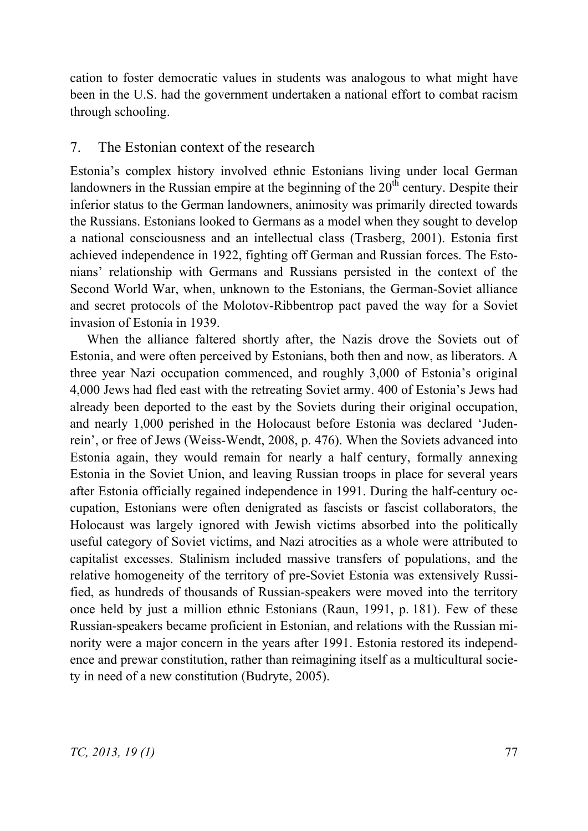cation to foster democratic values in students was analogous to what might have been in the U.S. had the government undertaken a national effort to combat racism through schooling.

#### 7. The Estonian context of the research

Estonia's complex history involved ethnic Estonians living under local German landowners in the Russian empire at the beginning of the  $20<sup>th</sup>$  century. Despite their inferior status to the German landowners, animosity was primarily directed towards the Russians. Estonians looked to Germans as a model when they sought to develop a national consciousness and an intellectual class (Trasberg, 2001). Estonia first achieved independence in 1922, fighting off German and Russian forces. The Estonians' relationship with Germans and Russians persisted in the context of the Second World War, when, unknown to the Estonians, the German-Soviet alliance and secret protocols of the Molotov-Ribbentrop pact paved the way for a Soviet invasion of Estonia in 1939.

When the alliance faltered shortly after, the Nazis drove the Soviets out of Estonia, and were often perceived by Estonians, both then and now, as liberators. A three year Nazi occupation commenced, and roughly 3,000 of Estonia's original 4,000 Jews had fled east with the retreating Soviet army. 400 of Estonia's Jews had already been deported to the east by the Soviets during their original occupation, and nearly 1,000 perished in the Holocaust before Estonia was declared 'Judenrein', or free of Jews (Weiss-Wendt, 2008, p. 476). When the Soviets advanced into Estonia again, they would remain for nearly a half century, formally annexing Estonia in the Soviet Union, and leaving Russian troops in place for several years after Estonia officially regained independence in 1991. During the half-century occupation, Estonians were often denigrated as fascists or fascist collaborators, the Holocaust was largely ignored with Jewish victims absorbed into the politically useful category of Soviet victims, and Nazi atrocities as a whole were attributed to capitalist excesses. Stalinism included massive transfers of populations, and the relative homogeneity of the territory of pre-Soviet Estonia was extensively Russified, as hundreds of thousands of Russian-speakers were moved into the territory once held by just a million ethnic Estonians (Raun, 1991, p. 181). Few of these Russian-speakers became proficient in Estonian, and relations with the Russian minority were a major concern in the years after 1991. Estonia restored its independence and prewar constitution, rather than reimagining itself as a multicultural society in need of a new constitution (Budryte, 2005).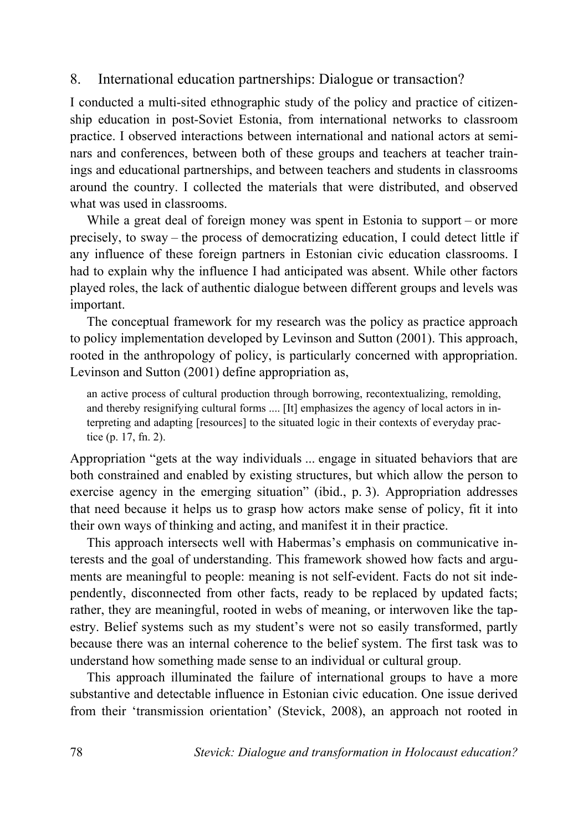### 8. International education partnerships: Dialogue or transaction?

I conducted a multi-sited ethnographic study of the policy and practice of citizenship education in post-Soviet Estonia, from international networks to classroom practice. I observed interactions between international and national actors at seminars and conferences, between both of these groups and teachers at teacher trainings and educational partnerships, and between teachers and students in classrooms around the country. I collected the materials that were distributed, and observed what was used in classrooms.

While a great deal of foreign money was spent in Estonia to support – or more precisely, to sway – the process of democratizing education, I could detect little if any influence of these foreign partners in Estonian civic education classrooms. I had to explain why the influence I had anticipated was absent. While other factors played roles, the lack of authentic dialogue between different groups and levels was important.

The conceptual framework for my research was the policy as practice approach to policy implementation developed by Levinson and Sutton (2001). This approach, rooted in the anthropology of policy, is particularly concerned with appropriation. Levinson and Sutton (2001) define appropriation as,

an active process of cultural production through borrowing, recontextualizing, remolding, and thereby resignifying cultural forms .... [It] emphasizes the agency of local actors in interpreting and adapting [resources] to the situated logic in their contexts of everyday practice (p. 17, fn. 2).

Appropriation "gets at the way individuals ... engage in situated behaviors that are both constrained and enabled by existing structures, but which allow the person to exercise agency in the emerging situation" (ibid., p. 3). Appropriation addresses that need because it helps us to grasp how actors make sense of policy, fit it into their own ways of thinking and acting, and manifest it in their practice.

This approach intersects well with Habermas's emphasis on communicative interests and the goal of understanding. This framework showed how facts and arguments are meaningful to people: meaning is not self-evident. Facts do not sit independently, disconnected from other facts, ready to be replaced by updated facts; rather, they are meaningful, rooted in webs of meaning, or interwoven like the tapestry. Belief systems such as my student's were not so easily transformed, partly because there was an internal coherence to the belief system. The first task was to understand how something made sense to an individual or cultural group.

This approach illuminated the failure of international groups to have a more substantive and detectable influence in Estonian civic education. One issue derived from their 'transmission orientation' (Stevick, 2008), an approach not rooted in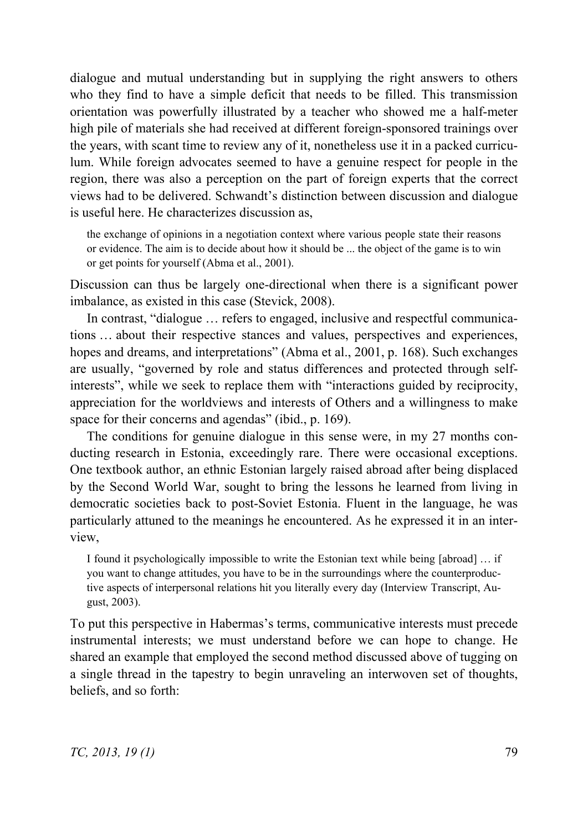dialogue and mutual understanding but in supplying the right answers to others who they find to have a simple deficit that needs to be filled. This transmission orientation was powerfully illustrated by a teacher who showed me a half-meter high pile of materials she had received at different foreign-sponsored trainings over the years, with scant time to review any of it, nonetheless use it in a packed curriculum. While foreign advocates seemed to have a genuine respect for people in the region, there was also a perception on the part of foreign experts that the correct views had to be delivered. Schwandt's distinction between discussion and dialogue is useful here. He characterizes discussion as.

the exchange of opinions in a negotiation context where various people state their reasons or evidence. The aim is to decide about how it should be ... the object of the game is to win or get points for yourself (Abma et al., 2001).

Discussion can thus be largely one-directional when there is a significant power imbalance, as existed in this case (Stevick, 2008).

In contrast, "dialogue … refers to engaged, inclusive and respectful communications … about their respective stances and values, perspectives and experiences, hopes and dreams, and interpretations" (Abma et al., 2001, p. 168). Such exchanges are usually, "governed by role and status differences and protected through selfinterests", while we seek to replace them with "interactions guided by reciprocity, appreciation for the worldviews and interests of Others and a willingness to make space for their concerns and agendas" (ibid., p. 169).

The conditions for genuine dialogue in this sense were, in my 27 months conducting research in Estonia, exceedingly rare. There were occasional exceptions. One textbook author, an ethnic Estonian largely raised abroad after being displaced by the Second World War, sought to bring the lessons he learned from living in democratic societies back to post-Soviet Estonia. Fluent in the language, he was particularly attuned to the meanings he encountered. As he expressed it in an interview,

I found it psychologically impossible to write the Estonian text while being [abroad] … if you want to change attitudes, you have to be in the surroundings where the counterproductive aspects of interpersonal relations hit you literally every day (Interview Transcript, August, 2003).

To put this perspective in Habermas's terms, communicative interests must precede instrumental interests; we must understand before we can hope to change. He shared an example that employed the second method discussed above of tugging on a single thread in the tapestry to begin unraveling an interwoven set of thoughts, beliefs, and so forth: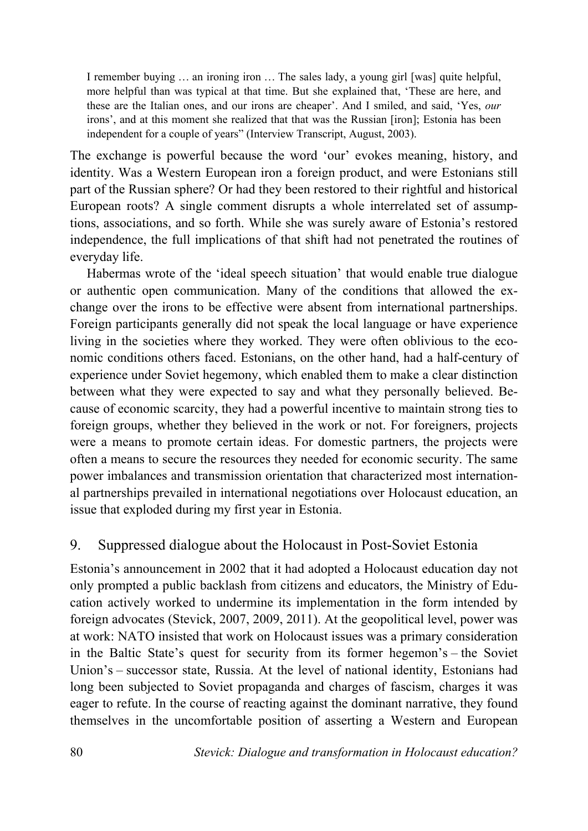I remember buying … an ironing iron … The sales lady, a young girl [was] quite helpful, more helpful than was typical at that time. But she explained that, 'These are here, and these are the Italian ones, and our irons are cheaper'. And I smiled, and said, 'Yes, *our* irons', and at this moment she realized that that was the Russian [iron]; Estonia has been independent for a couple of years" (Interview Transcript, August, 2003).

The exchange is powerful because the word 'our' evokes meaning, history, and identity. Was a Western European iron a foreign product, and were Estonians still part of the Russian sphere? Or had they been restored to their rightful and historical European roots? A single comment disrupts a whole interrelated set of assumptions, associations, and so forth. While she was surely aware of Estonia's restored independence, the full implications of that shift had not penetrated the routines of everyday life.

Habermas wrote of the 'ideal speech situation' that would enable true dialogue or authentic open communication. Many of the conditions that allowed the exchange over the irons to be effective were absent from international partnerships. Foreign participants generally did not speak the local language or have experience living in the societies where they worked. They were often oblivious to the economic conditions others faced. Estonians, on the other hand, had a half-century of experience under Soviet hegemony, which enabled them to make a clear distinction between what they were expected to say and what they personally believed. Because of economic scarcity, they had a powerful incentive to maintain strong ties to foreign groups, whether they believed in the work or not. For foreigners, projects were a means to promote certain ideas. For domestic partners, the projects were often a means to secure the resources they needed for economic security. The same power imbalances and transmission orientation that characterized most international partnerships prevailed in international negotiations over Holocaust education, an issue that exploded during my first year in Estonia.

# 9. Suppressed dialogue about the Holocaust in Post-Soviet Estonia

Estonia's announcement in 2002 that it had adopted a Holocaust education day not only prompted a public backlash from citizens and educators, the Ministry of Education actively worked to undermine its implementation in the form intended by foreign advocates (Stevick, 2007, 2009, 2011). At the geopolitical level, power was at work: NATO insisted that work on Holocaust issues was a primary consideration in the Baltic State's quest for security from its former hegemon's – the Soviet Union's – successor state, Russia. At the level of national identity, Estonians had long been subjected to Soviet propaganda and charges of fascism, charges it was eager to refute. In the course of reacting against the dominant narrative, they found themselves in the uncomfortable position of asserting a Western and European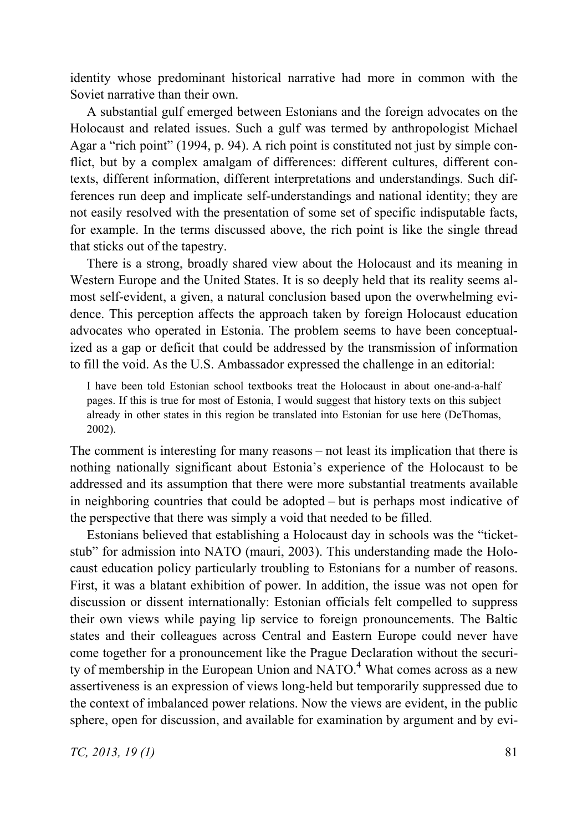identity whose predominant historical narrative had more in common with the Soviet narrative than their own.

A substantial gulf emerged between Estonians and the foreign advocates on the Holocaust and related issues. Such a gulf was termed by anthropologist Michael Agar a "rich point" (1994, p. 94). A rich point is constituted not just by simple conflict, but by a complex amalgam of differences: different cultures, different contexts, different information, different interpretations and understandings. Such differences run deep and implicate self-understandings and national identity; they are not easily resolved with the presentation of some set of specific indisputable facts, for example. In the terms discussed above, the rich point is like the single thread that sticks out of the tapestry.

There is a strong, broadly shared view about the Holocaust and its meaning in Western Europe and the United States. It is so deeply held that its reality seems almost self-evident, a given, a natural conclusion based upon the overwhelming evidence. This perception affects the approach taken by foreign Holocaust education advocates who operated in Estonia. The problem seems to have been conceptualized as a gap or deficit that could be addressed by the transmission of information to fill the void. As the U.S. Ambassador expressed the challenge in an editorial:

I have been told Estonian school textbooks treat the Holocaust in about one-and-a-half pages. If this is true for most of Estonia, I would suggest that history texts on this subject already in other states in this region be translated into Estonian for use here (DeThomas, 2002).

The comment is interesting for many reasons – not least its implication that there is nothing nationally significant about Estonia's experience of the Holocaust to be addressed and its assumption that there were more substantial treatments available in neighboring countries that could be adopted – but is perhaps most indicative of the perspective that there was simply a void that needed to be filled.

Estonians believed that establishing a Holocaust day in schools was the "ticketstub" for admission into NATO (mauri, 2003). This understanding made the Holocaust education policy particularly troubling to Estonians for a number of reasons. First, it was a blatant exhibition of power. In addition, the issue was not open for discussion or dissent internationally: Estonian officials felt compelled to suppress their own views while paying lip service to foreign pronouncements. The Baltic states and their colleagues across Central and Eastern Europe could never have come together for a pronouncement like the Prague Declaration without the security of membership in the European Union and NATO.<sup>4</sup> What comes across as a new assertiveness is an expression of views long-held but temporarily suppressed due to the context of imbalanced power relations. Now the views are evident, in the public sphere, open for discussion, and available for examination by argument and by evi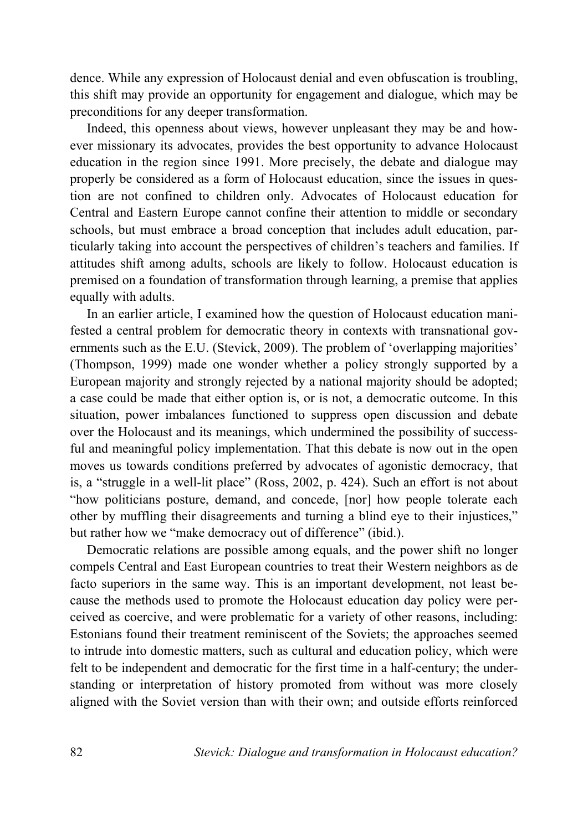dence. While any expression of Holocaust denial and even obfuscation is troubling, this shift may provide an opportunity for engagement and dialogue, which may be preconditions for any deeper transformation.

Indeed, this openness about views, however unpleasant they may be and however missionary its advocates, provides the best opportunity to advance Holocaust education in the region since 1991. More precisely, the debate and dialogue may properly be considered as a form of Holocaust education, since the issues in question are not confined to children only. Advocates of Holocaust education for Central and Eastern Europe cannot confine their attention to middle or secondary schools, but must embrace a broad conception that includes adult education, particularly taking into account the perspectives of children's teachers and families. If attitudes shift among adults, schools are likely to follow. Holocaust education is premised on a foundation of transformation through learning, a premise that applies equally with adults.

In an earlier article, I examined how the question of Holocaust education manifested a central problem for democratic theory in contexts with transnational governments such as the E.U. (Stevick, 2009). The problem of 'overlapping majorities' (Thompson, 1999) made one wonder whether a policy strongly supported by a European majority and strongly rejected by a national majority should be adopted; a case could be made that either option is, or is not, a democratic outcome. In this situation, power imbalances functioned to suppress open discussion and debate over the Holocaust and its meanings, which undermined the possibility of successful and meaningful policy implementation. That this debate is now out in the open moves us towards conditions preferred by advocates of agonistic democracy, that is, a "struggle in a well-lit place" (Ross, 2002, p. 424). Such an effort is not about "how politicians posture, demand, and concede, [nor] how people tolerate each other by muffling their disagreements and turning a blind eye to their injustices," but rather how we "make democracy out of difference" (ibid.).

Democratic relations are possible among equals, and the power shift no longer compels Central and East European countries to treat their Western neighbors as de facto superiors in the same way. This is an important development, not least because the methods used to promote the Holocaust education day policy were perceived as coercive, and were problematic for a variety of other reasons, including: Estonians found their treatment reminiscent of the Soviets; the approaches seemed to intrude into domestic matters, such as cultural and education policy, which were felt to be independent and democratic for the first time in a half-century; the understanding or interpretation of history promoted from without was more closely aligned with the Soviet version than with their own; and outside efforts reinforced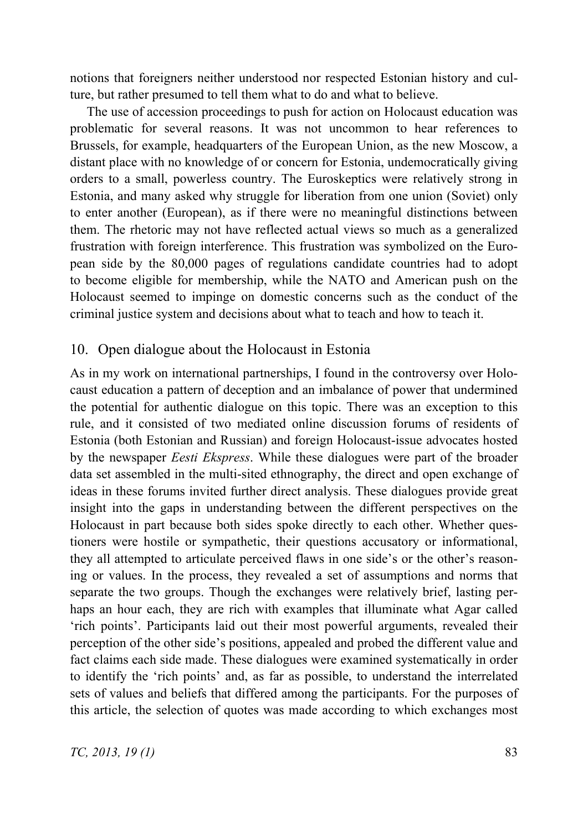notions that foreigners neither understood nor respected Estonian history and culture, but rather presumed to tell them what to do and what to believe.

The use of accession proceedings to push for action on Holocaust education was problematic for several reasons. It was not uncommon to hear references to Brussels, for example, headquarters of the European Union, as the new Moscow, a distant place with no knowledge of or concern for Estonia, undemocratically giving orders to a small, powerless country. The Euroskeptics were relatively strong in Estonia, and many asked why struggle for liberation from one union (Soviet) only to enter another (European), as if there were no meaningful distinctions between them. The rhetoric may not have reflected actual views so much as a generalized frustration with foreign interference. This frustration was symbolized on the European side by the 80,000 pages of regulations candidate countries had to adopt to become eligible for membership, while the NATO and American push on the Holocaust seemed to impinge on domestic concerns such as the conduct of the criminal justice system and decisions about what to teach and how to teach it.

#### 10. Open dialogue about the Holocaust in Estonia

As in my work on international partnerships, I found in the controversy over Holocaust education a pattern of deception and an imbalance of power that undermined the potential for authentic dialogue on this topic. There was an exception to this rule, and it consisted of two mediated online discussion forums of residents of Estonia (both Estonian and Russian) and foreign Holocaust-issue advocates hosted by the newspaper *Eesti Ekspress*. While these dialogues were part of the broader data set assembled in the multi-sited ethnography, the direct and open exchange of ideas in these forums invited further direct analysis. These dialogues provide great insight into the gaps in understanding between the different perspectives on the Holocaust in part because both sides spoke directly to each other. Whether questioners were hostile or sympathetic, their questions accusatory or informational, they all attempted to articulate perceived flaws in one side's or the other's reasoning or values. In the process, they revealed a set of assumptions and norms that separate the two groups. Though the exchanges were relatively brief, lasting perhaps an hour each, they are rich with examples that illuminate what Agar called 'rich points'. Participants laid out their most powerful arguments, revealed their perception of the other side's positions, appealed and probed the different value and fact claims each side made. These dialogues were examined systematically in order to identify the 'rich points' and, as far as possible, to understand the interrelated sets of values and beliefs that differed among the participants. For the purposes of this article, the selection of quotes was made according to which exchanges most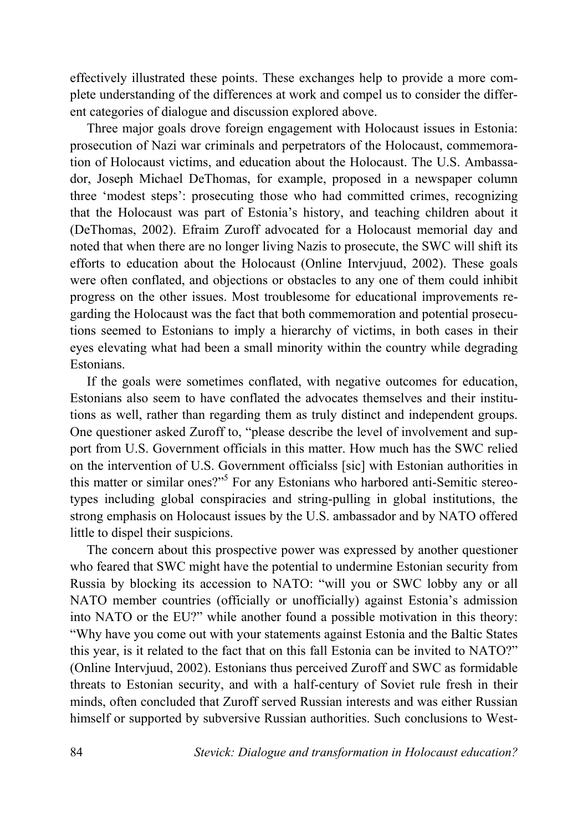effectively illustrated these points. These exchanges help to provide a more complete understanding of the differences at work and compel us to consider the different categories of dialogue and discussion explored above.

Three major goals drove foreign engagement with Holocaust issues in Estonia: prosecution of Nazi war criminals and perpetrators of the Holocaust, commemoration of Holocaust victims, and education about the Holocaust. The U.S. Ambassador, Joseph Michael DeThomas, for example, proposed in a newspaper column three 'modest steps': prosecuting those who had committed crimes, recognizing that the Holocaust was part of Estonia's history, and teaching children about it (DeThomas, 2002). Efraim Zuroff advocated for a Holocaust memorial day and noted that when there are no longer living Nazis to prosecute, the SWC will shift its efforts to education about the Holocaust (Online Intervjuud, 2002). These goals were often conflated, and objections or obstacles to any one of them could inhibit progress on the other issues. Most troublesome for educational improvements regarding the Holocaust was the fact that both commemoration and potential prosecutions seemed to Estonians to imply a hierarchy of victims, in both cases in their eyes elevating what had been a small minority within the country while degrading Estonians.

If the goals were sometimes conflated, with negative outcomes for education, Estonians also seem to have conflated the advocates themselves and their institutions as well, rather than regarding them as truly distinct and independent groups. One questioner asked Zuroff to, "please describe the level of involvement and support from U.S. Government officials in this matter. How much has the SWC relied on the intervention of U.S. Government officialss [sic] with Estonian authorities in this matter or similar ones?"<sup>5</sup> For any Estonians who harbored anti-Semitic stereotypes including global conspiracies and string-pulling in global institutions, the strong emphasis on Holocaust issues by the U.S. ambassador and by NATO offered little to dispel their suspicions.

The concern about this prospective power was expressed by another questioner who feared that SWC might have the potential to undermine Estonian security from Russia by blocking its accession to NATO: "will you or SWC lobby any or all NATO member countries (officially or unofficially) against Estonia's admission into NATO or the EU?" while another found a possible motivation in this theory: "Why have you come out with your statements against Estonia and the Baltic States this year, is it related to the fact that on this fall Estonia can be invited to NATO?" (Online Intervjuud, 2002). Estonians thus perceived Zuroff and SWC as formidable threats to Estonian security, and with a half-century of Soviet rule fresh in their minds, often concluded that Zuroff served Russian interests and was either Russian himself or supported by subversive Russian authorities. Such conclusions to West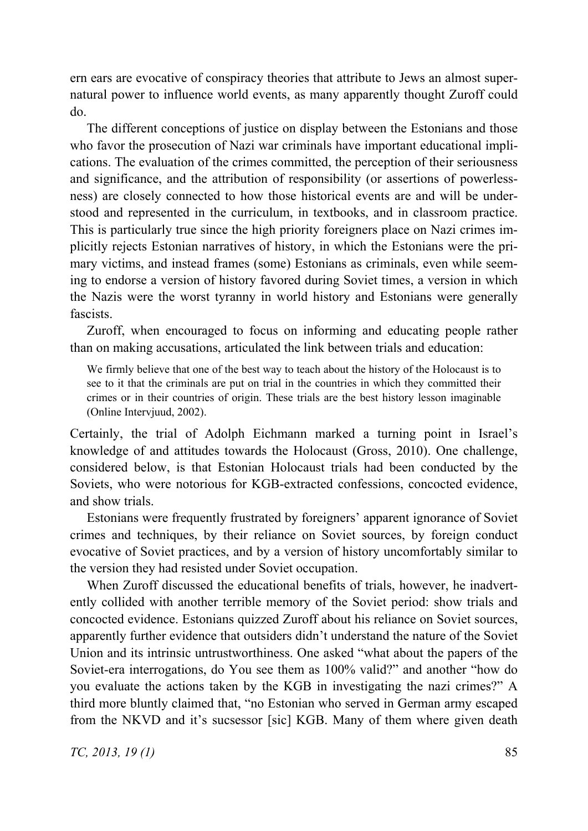ern ears are evocative of conspiracy theories that attribute to Jews an almost supernatural power to influence world events, as many apparently thought Zuroff could do.

The different conceptions of justice on display between the Estonians and those who favor the prosecution of Nazi war criminals have important educational implications. The evaluation of the crimes committed, the perception of their seriousness and significance, and the attribution of responsibility (or assertions of powerlessness) are closely connected to how those historical events are and will be understood and represented in the curriculum, in textbooks, and in classroom practice. This is particularly true since the high priority foreigners place on Nazi crimes implicitly rejects Estonian narratives of history, in which the Estonians were the primary victims, and instead frames (some) Estonians as criminals, even while seeming to endorse a version of history favored during Soviet times, a version in which the Nazis were the worst tyranny in world history and Estonians were generally fascists.

Zuroff, when encouraged to focus on informing and educating people rather than on making accusations, articulated the link between trials and education:

We firmly believe that one of the best way to teach about the history of the Holocaust is to see to it that the criminals are put on trial in the countries in which they committed their crimes or in their countries of origin. These trials are the best history lesson imaginable (Online Intervjuud, 2002).

Certainly, the trial of Adolph Eichmann marked a turning point in Israel's knowledge of and attitudes towards the Holocaust (Gross, 2010). One challenge, considered below, is that Estonian Holocaust trials had been conducted by the Soviets, who were notorious for KGB-extracted confessions, concocted evidence, and show trials.

Estonians were frequently frustrated by foreigners' apparent ignorance of Soviet crimes and techniques, by their reliance on Soviet sources, by foreign conduct evocative of Soviet practices, and by a version of history uncomfortably similar to the version they had resisted under Soviet occupation.

When Zuroff discussed the educational benefits of trials, however, he inadvertently collided with another terrible memory of the Soviet period: show trials and concocted evidence. Estonians quizzed Zuroff about his reliance on Soviet sources, apparently further evidence that outsiders didn't understand the nature of the Soviet Union and its intrinsic untrustworthiness. One asked "what about the papers of the Soviet-era interrogations, do You see them as 100% valid?" and another "how do you evaluate the actions taken by the KGB in investigating the nazi crimes?" A third more bluntly claimed that, "no Estonian who served in German army escaped from the NKVD and it's sucsessor [sic] KGB. Many of them where given death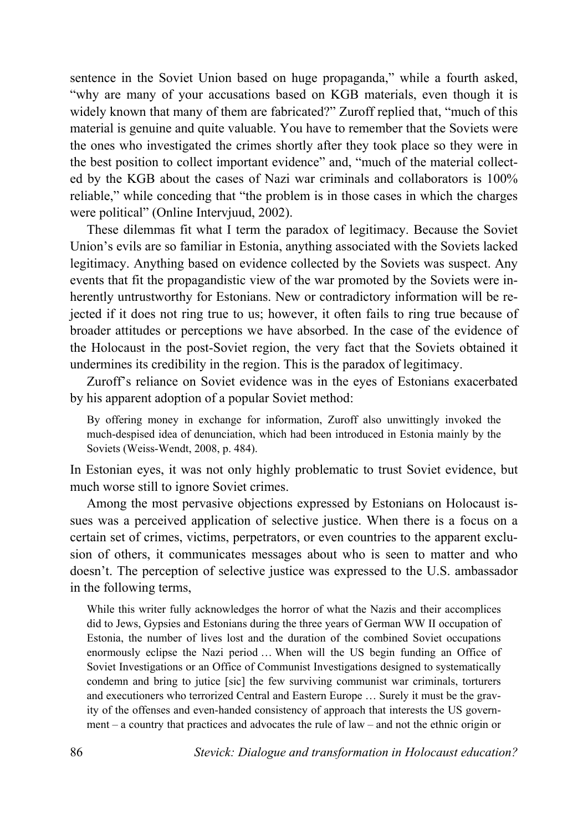sentence in the Soviet Union based on huge propaganda," while a fourth asked, "why are many of your accusations based on KGB materials, even though it is widely known that many of them are fabricated?" Zuroff replied that, "much of this material is genuine and quite valuable. You have to remember that the Soviets were the ones who investigated the crimes shortly after they took place so they were in the best position to collect important evidence" and, "much of the material collected by the KGB about the cases of Nazi war criminals and collaborators is 100% reliable," while conceding that "the problem is in those cases in which the charges were political" (Online Interviuud, 2002).

These dilemmas fit what I term the paradox of legitimacy. Because the Soviet Union's evils are so familiar in Estonia, anything associated with the Soviets lacked legitimacy. Anything based on evidence collected by the Soviets was suspect. Any events that fit the propagandistic view of the war promoted by the Soviets were inherently untrustworthy for Estonians. New or contradictory information will be rejected if it does not ring true to us; however, it often fails to ring true because of broader attitudes or perceptions we have absorbed. In the case of the evidence of the Holocaust in the post-Soviet region, the very fact that the Soviets obtained it undermines its credibility in the region. This is the paradox of legitimacy.

Zuroff's reliance on Soviet evidence was in the eyes of Estonians exacerbated by his apparent adoption of a popular Soviet method:

By offering money in exchange for information, Zuroff also unwittingly invoked the much-despised idea of denunciation, which had been introduced in Estonia mainly by the Soviets (Weiss-Wendt, 2008, p. 484).

In Estonian eyes, it was not only highly problematic to trust Soviet evidence, but much worse still to ignore Soviet crimes.

Among the most pervasive objections expressed by Estonians on Holocaust issues was a perceived application of selective justice. When there is a focus on a certain set of crimes, victims, perpetrators, or even countries to the apparent exclusion of others, it communicates messages about who is seen to matter and who doesn't. The perception of selective justice was expressed to the U.S. ambassador in the following terms,

While this writer fully acknowledges the horror of what the Nazis and their accomplices did to Jews, Gypsies and Estonians during the three years of German WW II occupation of Estonia, the number of lives lost and the duration of the combined Soviet occupations enormously eclipse the Nazi period … When will the US begin funding an Office of Soviet Investigations or an Office of Communist Investigations designed to systematically condemn and bring to jutice [sic] the few surviving communist war criminals, torturers and executioners who terrorized Central and Eastern Europe … Surely it must be the gravity of the offenses and even-handed consistency of approach that interests the US government – a country that practices and advocates the rule of law – and not the ethnic origin or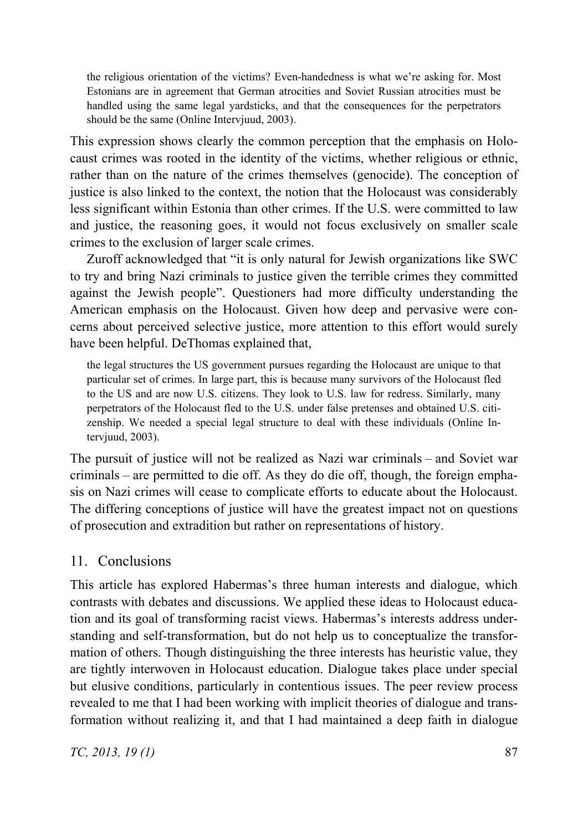the religious orientation of the victims? Even-handedness is what we're asking for. Most Estonians are in agreement that German atrocities and Soviet Russian atrocities must be handled using the same legal yardsticks, and that the consequences for the perpetrators should be the same (Online Intervjuud, 2003).

This expression shows clearly the common perception that the emphasis on Holocaust crimes was rooted in the identity of the victims, whether religious or ethnic, rather than on the nature of the crimes themselves (genocide). The conception of justice is also linked to the context, the notion that the Holocaust was considerably less significant within Estonia than other crimes. If the U.S. were committed to law and justice, the reasoning goes, it would not focus exclusively on smaller scale crimes to the exclusion of larger scale crimes.

Zuroff acknowledged that "it is only natural for Jewish organizations like SWC to try and bring Nazi criminals to justice given the terrible crimes they committed against the Jewish people". Questioners had more difficulty understanding the American emphasis on the Holocaust. Given how deep and pervasive were concerns about perceived selective justice, more attention to this effort would surely have been helpful. DeThomas explained that,

the legal structures the US government pursues regarding the Holocaust are unique to that particular set of crimes. In large part, this is because many survivors of the Holocaust fled to the US and are now U.S. citizens. They look to U.S. law for redress. Similarly, many perpetrators of the Holocaust fled to the U.S. under false pretenses and obtained U.S. citizenship. We needed a special legal structure to deal with these individuals (Online Intervjuud, 2003).

The pursuit of justice will not be realized as Nazi war criminals – and Soviet war criminals – are permitted to die off. As they do die off, though, the foreign emphasis on Nazi crimes will cease to complicate efforts to educate about the Holocaust. The differing conceptions of justice will have the greatest impact not on questions of prosecution and extradition but rather on representations of history.

### 11. Conclusions

This article has explored Habermas's three human interests and dialogue, which contrasts with debates and discussions. We applied these ideas to Holocaust education and its goal of transforming racist views. Habermas's interests address understanding and self-transformation, but do not help us to conceptualize the transformation of others. Though distinguishing the three interests has heuristic value, they are tightly interwoven in Holocaust education. Dialogue takes place under special but elusive conditions, particularly in contentious issues. The peer review process revealed to me that I had been working with implicit theories of dialogue and transformation without realizing it, and that I had maintained a deep faith in dialogue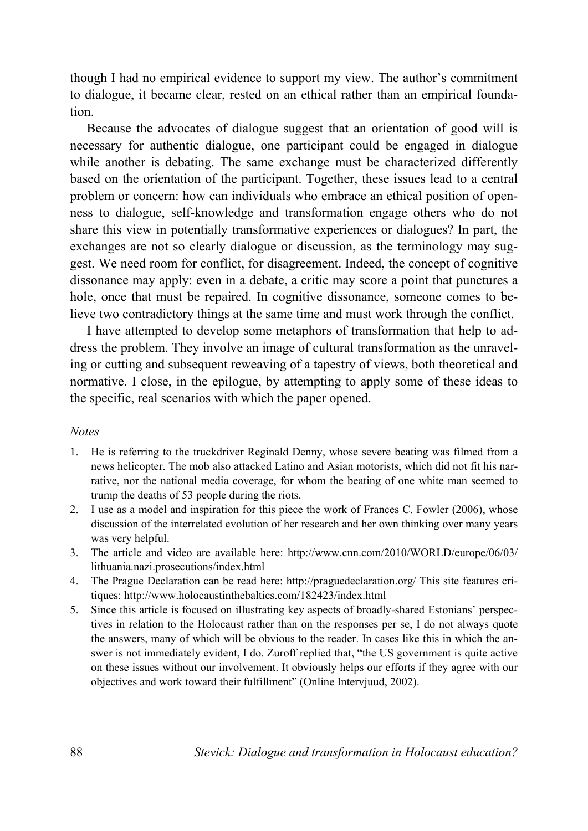though I had no empirical evidence to support my view. The author's commitment to dialogue, it became clear, rested on an ethical rather than an empirical foundation.

Because the advocates of dialogue suggest that an orientation of good will is necessary for authentic dialogue, one participant could be engaged in dialogue while another is debating. The same exchange must be characterized differently based on the orientation of the participant. Together, these issues lead to a central problem or concern: how can individuals who embrace an ethical position of openness to dialogue, self-knowledge and transformation engage others who do not share this view in potentially transformative experiences or dialogues? In part, the exchanges are not so clearly dialogue or discussion, as the terminology may suggest. We need room for conflict, for disagreement. Indeed, the concept of cognitive dissonance may apply: even in a debate, a critic may score a point that punctures a hole, once that must be repaired. In cognitive dissonance, someone comes to believe two contradictory things at the same time and must work through the conflict.

I have attempted to develop some metaphors of transformation that help to address the problem. They involve an image of cultural transformation as the unraveling or cutting and subsequent reweaving of a tapestry of views, both theoretical and normative. I close, in the epilogue, by attempting to apply some of these ideas to the specific, real scenarios with which the paper opened.

#### *Notes*

- 1. He is referring to the truckdriver Reginald Denny, whose severe beating was filmed from a news helicopter. The mob also attacked Latino and Asian motorists, which did not fit his narrative, nor the national media coverage, for whom the beating of one white man seemed to trump the deaths of 53 people during the riots.
- 2. I use as a model and inspiration for this piece the work of Frances C. Fowler (2006), whose discussion of the interrelated evolution of her research and her own thinking over many years was very helpful.
- 3. The article and video are available here: http://www.cnn.com/2010/WORLD/europe/06/03/ lithuania.nazi.prosecutions/index.html
- 4. The Prague Declaration can be read here: http://praguedeclaration.org/ This site features critiques: http://www.holocaustinthebaltics.com/182423/index.html
- 5. Since this article is focused on illustrating key aspects of broadly-shared Estonians' perspectives in relation to the Holocaust rather than on the responses per se, I do not always quote the answers, many of which will be obvious to the reader. In cases like this in which the answer is not immediately evident, I do. Zuroff replied that, "the US government is quite active on these issues without our involvement. It obviously helps our efforts if they agree with our objectives and work toward their fulfillment" (Online Intervjuud, 2002).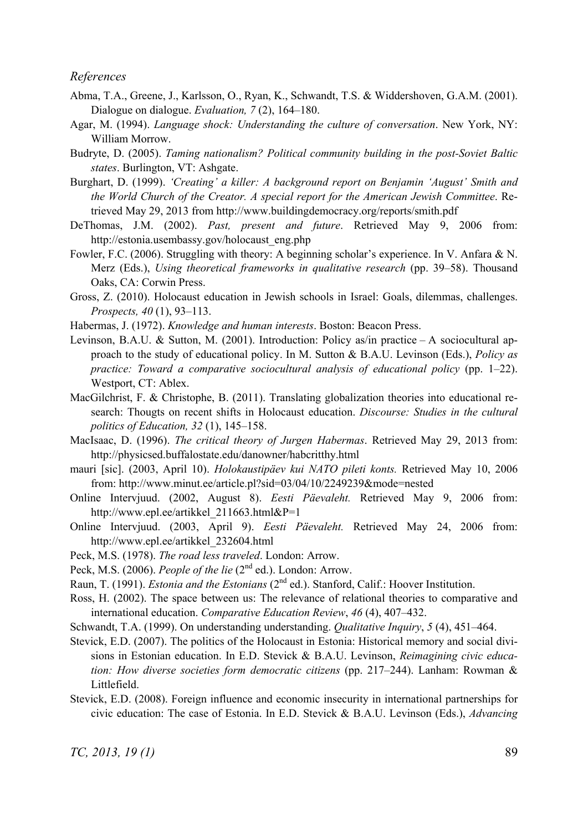#### *References*

- Abma, T.A., Greene, J., Karlsson, O., Ryan, K., Schwandt, T.S. & Widdershoven, G.A.M. (2001). Dialogue on dialogue. *Evaluation, 7* (2), 164–180.
- Agar, M. (1994). *Language shock: Understanding the culture of conversation*. New York, NY: William Morrow.
- Budryte, D. (2005). *Taming nationalism? Political community building in the post-Soviet Baltic states*. Burlington, VT: Ashgate.
- Burghart, D. (1999). *'Creating' a killer: A background report on Benjamin 'August' Smith and the World Church of the Creator. A special report for the American Jewish Committee*. Retrieved May 29, 2013 from http://www.buildingdemocracy.org/reports/smith.pdf
- DeThomas, J.M. (2002). *Past, present and future*. Retrieved May 9, 2006 from: http://estonia.usembassy.gov/holocaust\_eng.php
- Fowler, F.C. (2006). Struggling with theory: A beginning scholar's experience. In V. Anfara & N. Merz (Eds.), *Using theoretical frameworks in qualitative research* (pp. 39–58). Thousand Oaks, CA: Corwin Press.
- Gross, Z. (2010). Holocaust education in Jewish schools in Israel: Goals, dilemmas, challenges. *Prospects, 40* (1), 93–113.
- Habermas, J. (1972). *Knowledge and human interests*. Boston: Beacon Press.
- Levinson, B.A.U. & Sutton, M. (2001). Introduction: Policy as/in practice A sociocultural approach to the study of educational policy. In M. Sutton & B.A.U. Levinson (Eds.), *Policy as practice: Toward a comparative sociocultural analysis of educational policy (pp. 1–22).* Westport, CT: Ablex.
- MacGilchrist, F. & Christophe, B. (2011). Translating globalization theories into educational research: Thougts on recent shifts in Holocaust education. *Discourse: Studies in the cultural politics of Education, 32* (1), 145–158.
- MacIsaac, D. (1996). *The critical theory of Jurgen Habermas*. Retrieved May 29, 2013 from: http://physicsed.buffalostate.edu/danowner/habcritthy.html
- mauri [sic]. (2003, April 10). *Holokaustipäev kui NATO pileti konts.* Retrieved May 10, 2006 from: http://www.minut.ee/article.pl?sid=03/04/10/2249239&mode=nested
- Online Intervjuud. (2002, August 8). *Eesti Päevaleht.* Retrieved May 9, 2006 from: http://www.epl.ee/artikkel\_211663.html&P=1
- Online Intervjuud. (2003, April 9). *Eesti Päevaleht.* Retrieved May 24, 2006 from: http://www.epl.ee/artikkel\_232604.html
- Peck, M.S. (1978). *The road less traveled*. London: Arrow.
- Peck, M.S. (2006). *People of the lie* (2<sup>nd</sup> ed.). London: Arrow.
- Raun, T. (1991). *Estonia and the Estonians* (2<sup>nd</sup> ed.). Stanford, Calif.: Hoover Institution.
- Ross, H. (2002). The space between us: The relevance of relational theories to comparative and international education. *Comparative Education Review*, *46* (4), 407–432.
- Schwandt, T.A. (1999). On understanding understanding. *Qualitative Inquiry*, *5* (4), 451–464.
- Stevick, E.D. (2007). The politics of the Holocaust in Estonia: Historical memory and social divisions in Estonian education. In E.D. Stevick & B.A.U. Levinson, *Reimagining civic education: How diverse societies form democratic citizens* (pp. 217–244). Lanham: Rowman & Littlefield.
- Stevick, E.D. (2008). Foreign influence and economic insecurity in international partnerships for civic education: The case of Estonia. In E.D. Stevick & B.A.U. Levinson (Eds.), *Advancing*